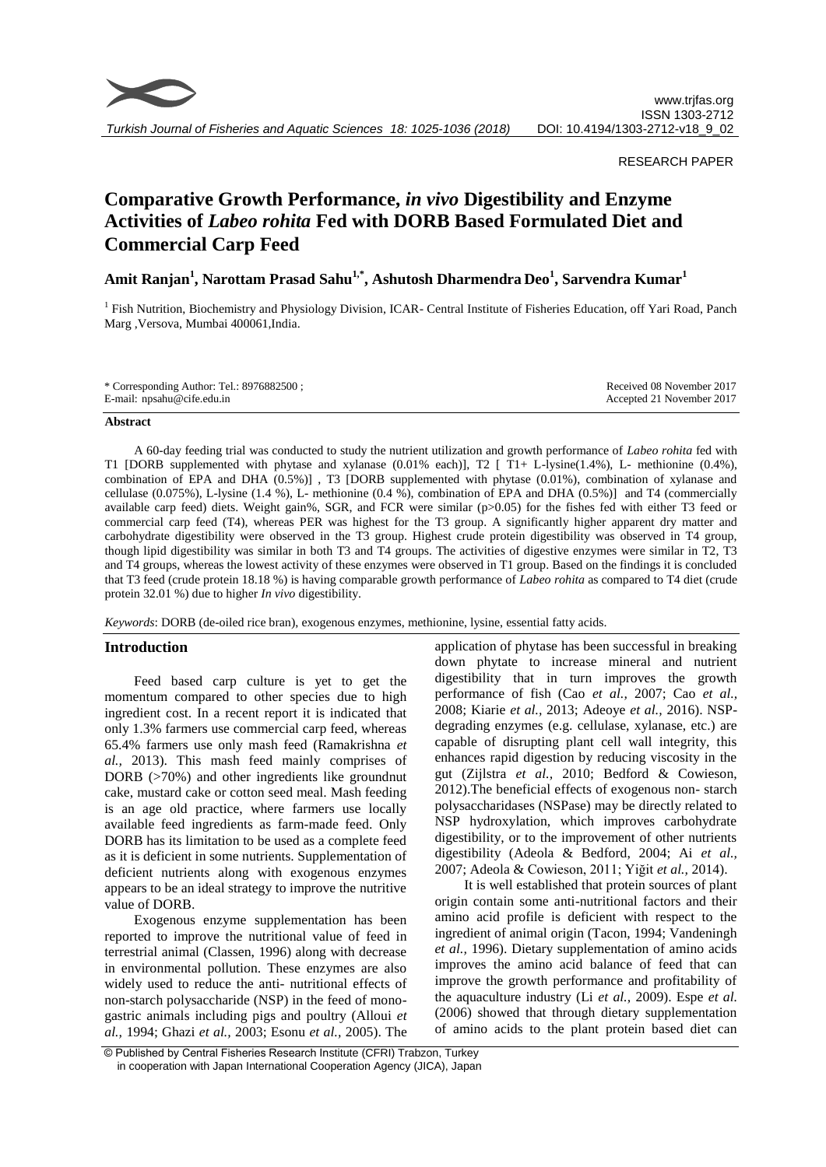

## RESEARCH PAPER

# **Comparative Growth Performance,** *in vivo* **Digestibility and Enzyme Activities of** *Labeo rohita* **Fed with DORB Based Formulated Diet and Commercial Carp Feed**

**Amit Ranjan<sup>1</sup> , Narottam Prasad Sahu1,\*, Ashutosh Dharmendra Deo<sup>1</sup> , Sarvendra Kumar<sup>1</sup>**

<sup>1</sup> Fish Nutrition, Biochemistry and Physiology Division, ICAR- Central Institute of Fisheries Education, off Yari Road, Panch Marg ,Versova, Mumbai 400061,India.

## **Abstract**

A 60-day feeding trial was conducted to study the nutrient utilization and growth performance of *Labeo rohita* fed with T1 [DORB supplemented with phytase and xylanase (0.01% each)], T2 [ T1+ L-lysine(1.4%), L- methionine (0.4%), combination of EPA and DHA (0.5%)] , T3 [DORB supplemented with phytase (0.01%), combination of xylanase and cellulase (0.075%), L-lysine (1.4 %), L- methionine (0.4 %), combination of EPA and DHA (0.5%)] and T4 (commercially available carp feed) diets. Weight gain%, SGR, and FCR were similar (p>0.05) for the fishes fed with either T3 feed or commercial carp feed (T4), whereas PER was highest for the T3 group. A significantly higher apparent dry matter and carbohydrate digestibility were observed in the T3 group. Highest crude protein digestibility was observed in T4 group, though lipid digestibility was similar in both T3 and T4 groups. The activities of digestive enzymes were similar in T2, T3 and T4 groups, whereas the lowest activity of these enzymes were observed in T1 group. Based on the findings it is concluded that T3 feed (crude protein 18.18 %) is having comparable growth performance of *Labeo rohita* as compared to T4 diet (crude protein 32.01 %) due to higher *In vivo* digestibility.

*Keywords*: DORB (de-oiled rice bran), exogenous enzymes, methionine, lysine, essential fatty acids.

# **Introduction**

Feed based carp culture is yet to get the momentum compared to other species due to high ingredient cost. In a recent report it is indicated that only 1.3% farmers use commercial carp feed, whereas 65.4% farmers use only mash feed (Ramakrishna *et al.,* 2013). This mash feed mainly comprises of DORB (>70%) and other ingredients like groundnut cake, mustard cake or cotton seed meal. Mash feeding is an age old practice, where farmers use locally available feed ingredients as farm-made feed. Only DORB has its limitation to be used as a complete feed as it is deficient in some nutrients. Supplementation of deficient nutrients along with exogenous enzymes appears to be an ideal strategy to improve the nutritive value of DORB.

Exogenous enzyme supplementation has been reported to improve the nutritional value of feed in terrestrial animal (Classen, 1996) along with decrease in environmental pollution. These enzymes are also widely used to reduce the anti- nutritional effects of non-starch polysaccharide (NSP) in the feed of monogastric animals including pigs and poultry (Alloui *et al.,* 1994; Ghazi *et al.,* 2003; Esonu *et al.,* 2005). The

application of phytase has been successful in breaking down phytate to increase mineral and nutrient digestibility that in turn improves the growth performance of fish (Cao *et al.,* 2007; Cao *et al.,* 2008; Kiarie *et al.,* 2013; Adeoye *et al.,* 2016). NSPdegrading enzymes (e.g. cellulase, xylanase, etc.) are capable of disrupting plant cell wall integrity, this enhances rapid digestion by reducing viscosity in the gut (Zijlstra *et al.,* 2010; Bedford & Cowieson, 2012).The beneficial effects of exogenous non- starch polysaccharidases (NSPase) may be directly related to NSP hydroxylation, which improves carbohydrate digestibility, or to the improvement of other nutrients digestibility (Adeola & Bedford, 2004; Ai *et al.,* 2007; Adeola & Cowieson, 2011; Yiğit *et al.,* 2014).

It is well established that protein sources of plant origin contain some anti-nutritional factors and their amino acid profile is deficient with respect to the ingredient of animal origin (Tacon, 1994; Vandeningh *et al.,* 1996). Dietary supplementation of amino acids improves the amino acid balance of feed that can improve the growth performance and profitability of the aquaculture industry (Li *et al.,* 2009). Espe *et al.* (2006) showed that through dietary supplementation of amino acids to the plant protein based diet can

<sup>©</sup> Published by Central Fisheries Research Institute (CFRI) Trabzon, Turkey in cooperation with Japan International Cooperation Agency (JICA), Japan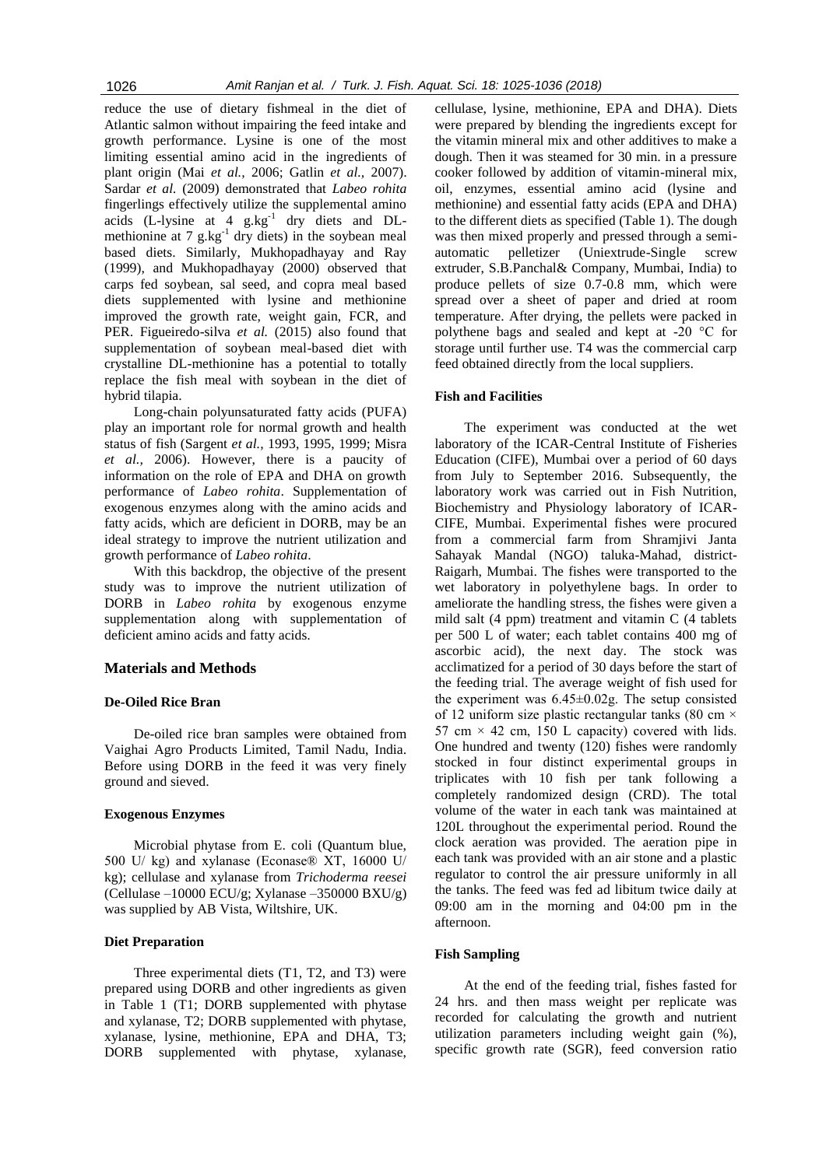reduce the use of dietary fishmeal in the diet of Atlantic salmon without impairing the feed intake and growth performance. Lysine is one of the most limiting essential amino acid in the ingredients of plant origin (Mai *et al.,* 2006; Gatlin *et al.,* 2007). Sardar *et al.* (2009) demonstrated that *Labeo rohita* fingerlings effectively utilize the supplemental amino acids  $(L$ -lysine at 4  $g$ .kg<sup>-1</sup> dry diets and DLmethionine at  $7 \text{ g} \cdot \text{kg}^{-1}$  dry diets) in the soybean meal based diets. Similarly, Mukhopadhayay and Ray (1999), and Mukhopadhayay (2000) observed that carps fed soybean, sal seed, and copra meal based diets supplemented with lysine and methionine improved the growth rate, weight gain, FCR, and PER. Figueiredo-silva *et al.* (2015) also found that supplementation of soybean meal-based diet with crystalline DL-methionine has a potential to totally replace the fish meal with soybean in the diet of hybrid tilapia.

Long-chain polyunsaturated fatty acids (PUFA) play an important role for normal growth and health status of fish (Sargent *et al.,* 1993, 1995, 1999; Misra *et al.,* 2006). However, there is a paucity of information on the role of EPA and DHA on growth performance of *Labeo rohita*. Supplementation of exogenous enzymes along with the amino acids and fatty acids, which are deficient in DORB, may be an ideal strategy to improve the nutrient utilization and growth performance of *Labeo rohita*.

With this backdrop, the objective of the present study was to improve the nutrient utilization of DORB in *Labeo rohita* by exogenous enzyme supplementation along with supplementation of deficient amino acids and fatty acids*.*

## **Materials and Methods**

#### **De-Oiled Rice Bran**

De-oiled rice bran samples were obtained from Vaighai Agro Products Limited, Tamil Nadu, India. Before using DORB in the feed it was very finely ground and sieved.

#### **Exogenous Enzymes**

Microbial phytase from E. coli (Quantum blue, 500 U/ kg) and xylanase (Econase® XT, 16000 U/ kg); cellulase and xylanase from *Trichoderma reesei* (Cellulase –10000 ECU/g; Xylanase –350000 BXU/g) was supplied by AB Vista, Wiltshire, UK.

## **Diet Preparation**

Three experimental diets (T1, T2, and T3) were prepared using DORB and other ingredients as given in Table 1 (T1; DORB supplemented with phytase and xylanase, T2; DORB supplemented with phytase, xylanase, lysine, methionine, EPA and DHA, T3; DORB supplemented with phytase, xylanase, cellulase, lysine, methionine, EPA and DHA). Diets were prepared by blending the ingredients except for the vitamin mineral mix and other additives to make a dough. Then it was steamed for 30 min. in a pressure cooker followed by addition of vitamin-mineral mix, oil, enzymes, essential amino acid (lysine and methionine) and essential fatty acids (EPA and DHA) to the different diets as specified (Table 1). The dough was then mixed properly and pressed through a semiautomatic pelletizer (Uniextrude-Single screw extruder, S.B.Panchal& Company, Mumbai, India) to produce pellets of size 0.7-0.8 mm, which were spread over a sheet of paper and dried at room temperature. After drying, the pellets were packed in polythene bags and sealed and kept at -20 °C for storage until further use. T4 was the commercial carp feed obtained directly from the local suppliers.

#### **Fish and Facilities**

The experiment was conducted at the wet laboratory of the ICAR-Central Institute of Fisheries Education (CIFE), Mumbai over a period of 60 days from July to September 2016. Subsequently, the laboratory work was carried out in Fish Nutrition, Biochemistry and Physiology laboratory of ICAR-CIFE, Mumbai. Experimental fishes were procured from a commercial farm from Shramjivi Janta Sahayak Mandal (NGO) taluka-Mahad, district-Raigarh, Mumbai. The fishes were transported to the wet laboratory in polyethylene bags. In order to ameliorate the handling stress, the fishes were given a mild salt (4 ppm) treatment and vitamin C (4 tablets per 500 L of water; each tablet contains 400 mg of ascorbic acid), the next day. The stock was acclimatized for a period of 30 days before the start of the feeding trial. The average weight of fish used for the experiment was 6.45±0.02g. The setup consisted of 12 uniform size plastic rectangular tanks (80 cm  $\times$ 57 cm  $\times$  42 cm, 150 L capacity) covered with lids. One hundred and twenty (120) fishes were randomly stocked in four distinct experimental groups in triplicates with 10 fish per tank following a completely randomized design (CRD). The total volume of the water in each tank was maintained at 120L throughout the experimental period. Round the clock aeration was provided. The aeration pipe in each tank was provided with an air stone and a plastic regulator to control the air pressure uniformly in all the tanks. The feed was fed ad libitum twice daily at 09:00 am in the morning and 04:00 pm in the afternoon.

## **Fish Sampling**

At the end of the feeding trial, fishes fasted for 24 hrs. and then mass weight per replicate was recorded for calculating the growth and nutrient utilization parameters including weight gain (%), specific growth rate (SGR), feed conversion ratio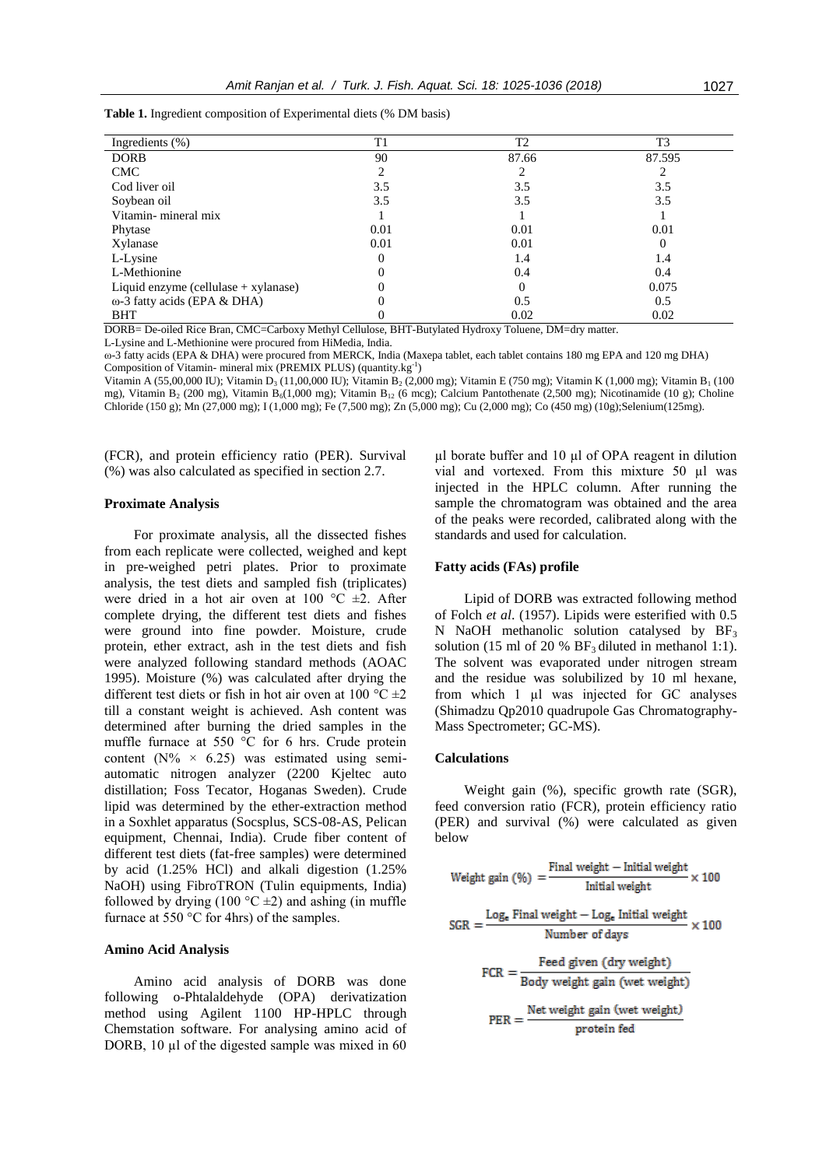| Ingredients $(\%)$                     | T1   | T2    | T3       |
|----------------------------------------|------|-------|----------|
| <b>DORB</b>                            | 90   | 87.66 | 87.595   |
| <b>CMC</b>                             |      |       |          |
| Cod liver oil                          | 3.5  | 3.5   | 3.5      |
| Soybean oil                            | 3.5  | 3.5   | 3.5      |
| Vitamin-mineral mix                    |      |       |          |
| Phytase                                | 0.01 | 0.01  | 0.01     |
| Xylanase                               | 0.01 | 0.01  | $\theta$ |
| L-Lysine                               |      | 1.4   | 1.4      |
| L-Methionine                           |      | 0.4   | 0.4      |
| Liquid enzyme (cellulase $+$ xylanase) |      |       | 0.075    |
| $\omega$ -3 fatty acids (EPA & DHA)    |      | 0.5   | 0.5      |
| <b>BHT</b>                             |      | 0.02  | 0.02     |

**Table 1.** Ingredient composition of Experimental diets (% DM basis)

DORB= De-oiled Rice Bran, CMC=Carboxy Methyl Cellulose, BHT-Butylated Hydroxy Toluene, DM=dry matter. L-Lysine and L-Methionine were procured from HiMedia, India.

ω-3 fatty acids (EPA & DHA) were procured from MERCK, India (Maxepa tablet, each tablet contains 180 mg EPA and 120 mg DHA) Composition of Vitamin- mineral mix (PREMIX PLUS) (quantity.kg<sup>-1</sup>)

Vitamin A (55,00,000 IU); Vitamin D<sub>3</sub> (11,00,000 IU); Vitamin B<sub>2</sub> (2,000 mg); Vitamin E (750 mg); Vitamin K (1,000 mg); Vitamin B<sub>1</sub> (100 mg), Vitamin B<sub>2</sub> (200 mg), Vitamin B<sub>6</sub>(1,000 mg); Vitamin B<sub>12</sub> (6 mcg); Calcium Pantothenate (2,500 mg); Nicotinamide (10 g); Choline Chloride (150 g); Mn (27,000 mg); I (1,000 mg); Fe (7,500 mg); Zn (5,000 mg); Cu (2,000 mg); Co (450 mg) (10g);Selenium(125mg).

(FCR), and protein efficiency ratio (PER). Survival (%) was also calculated as specified in section 2.7.

#### **Proximate Analysis**

For proximate analysis, all the dissected fishes from each replicate were collected, weighed and kept in pre-weighed petri plates. Prior to proximate analysis, the test diets and sampled fish (triplicates) were dried in a hot air oven at 100  $^{\circ}$ C  $\pm$ 2. After complete drying, the different test diets and fishes were ground into fine powder. Moisture, crude protein, ether extract, ash in the test diets and fish were analyzed following standard methods (AOAC 1995). Moisture (%) was calculated after drying the different test diets or fish in hot air oven at 100  $^{\circ}$ C  $\pm$ 2 till a constant weight is achieved. Ash content was determined after burning the dried samples in the muffle furnace at 550 °C for 6 hrs. Crude protein content ( $N\% \times 6.25$ ) was estimated using semiautomatic nitrogen analyzer (2200 Kjeltec auto distillation; Foss Tecator, Hoganas Sweden). Crude lipid was determined by the ether-extraction method in a Soxhlet apparatus (Socsplus, SCS-08-AS, Pelican equipment, Chennai, India). Crude fiber content of different test diets (fat-free samples) were determined by acid (1.25% HCl) and alkali digestion (1.25% NaOH) using FibroTRON (Tulin equipments, India) followed by drying (100  $\degree$ C  $\pm$ 2) and ashing (in muffle furnace at 550 °C for 4hrs) of the samples.

## **Amino Acid Analysis**

Amino acid analysis of DORB was done following o-Phtalaldehyde (OPA) derivatization method using Agilent 1100 HP-HPLC through Chemstation software. For analysing amino acid of DORB, 10 µl of the digested sample was mixed in 60

 $\mu$ l borate buffer and 10  $\mu$ l of OPA reagent in dilution vial and vortexed. From this mixture 50 µl was injected in the HPLC column. After running the sample the chromatogram was obtained and the area of the peaks were recorded, calibrated along with the standards and used for calculation.

#### **Fatty acids (FAs) profile**

Lipid of DORB was extracted following method of Folch *et al*. (1957). Lipids were esterified with 0.5 N NaOH methanolic solution catalysed by  $BF_3$ solution (15 ml of 20 %  $BF_3$  diluted in methanol 1:1). The solvent was evaporated under nitrogen stream and the residue was solubilized by 10 ml hexane, from which 1 µl was injected for GC analyses (Shimadzu Qp2010 quadrupole Gas Chromatography-Mass Spectrometer; GC-MS).

#### **Calculations**

Weight gain (%), specific growth rate (SGR), feed conversion ratio (FCR), protein efficiency ratio (PER) and survival (%) were calculated as given below

Weight gain (
$$
\%
$$
) =  $\frac{\text{Final weight} - \text{Initial weight}}{\text{Initial weight}} \times 100$   
\nSGR =  $\frac{\text{Log}_e \text{ Final weight} - \text{Log}_e \text{ Initial weight}}{\text{Number of days}} \times 100$   
\nFCR =  $\frac{\text{Feed given (dry weight)}}{\text{Body weight gain (wet weight)}}$   
\nPER =  $\frac{\text{Net weight gain (wet weight)}}{\text{protein fed}}$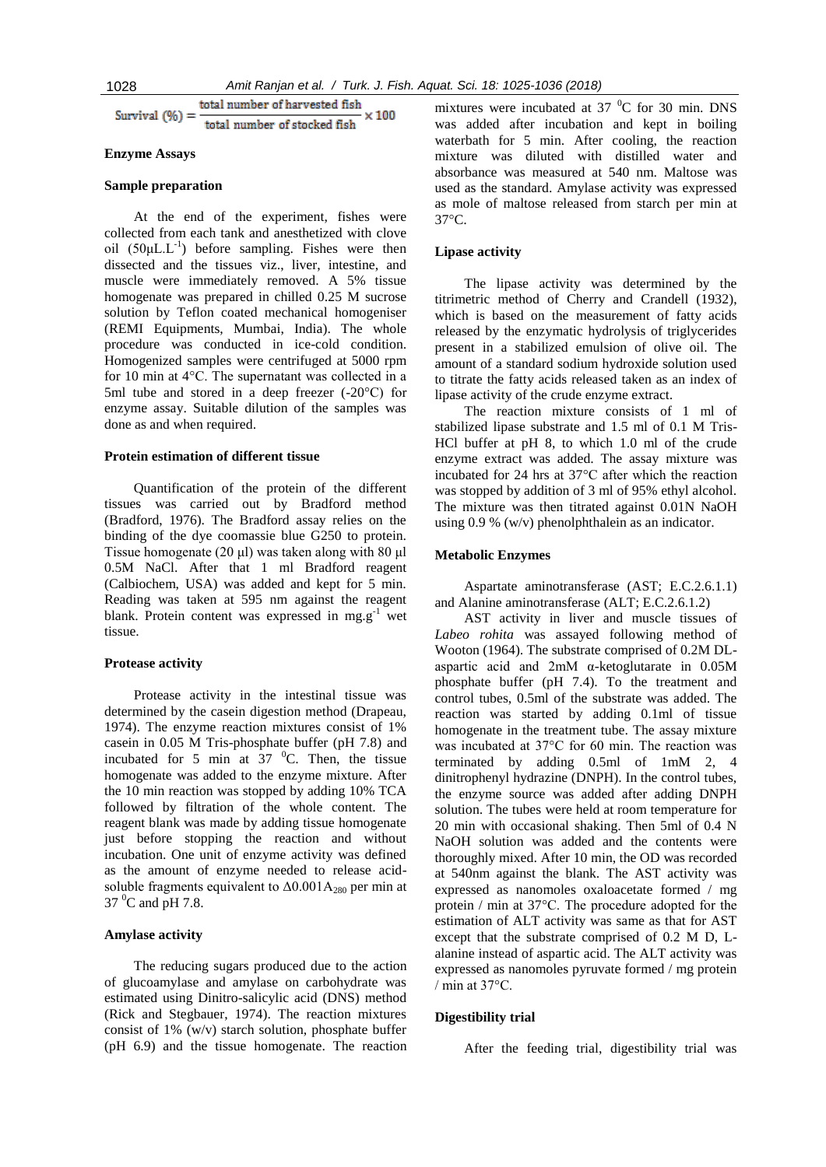total number of harvested fish  $\times 100$ Survival  $(%)=$ total number of stocked fish

#### **Enzyme Assays**

#### **Sample preparation**

At the end of the experiment, fishes were collected from each tank and anesthetized with clove oil  $(50\mu L.L^{-1})$  before sampling. Fishes were then dissected and the tissues viz., liver, intestine, and muscle were immediately removed. A 5% tissue homogenate was prepared in chilled 0.25 M sucrose solution by Teflon coated mechanical homogeniser (REMI Equipments, Mumbai, India). The whole procedure was conducted in ice-cold condition. Homogenized samples were centrifuged at 5000 rpm for 10 min at 4°C. The supernatant was collected in a 5ml tube and stored in a deep freezer (-20°C) for enzyme assay. Suitable dilution of the samples was done as and when required.

#### **Protein estimation of different tissue**

Quantification of the protein of the different tissues was carried out by Bradford method (Bradford, 1976). The Bradford assay relies on the binding of the dye coomassie blue G250 to protein. Tissue homogenate (20 μl) was taken along with 80 μl 0.5M NaCl. After that 1 ml Bradford reagent (Calbiochem, USA) was added and kept for 5 min. Reading was taken at 595 nm against the reagent blank. Protein content was expressed in mg.g<sup>-1</sup> wet tissue.

## **Protease activity**

Protease activity in the intestinal tissue was determined by the casein digestion method (Drapeau, 1974). The enzyme reaction mixtures consist of 1% casein in 0.05 M Tris-phosphate buffer (pH 7.8) and incubated for 5 min at 37  $^{\circ}$ C. Then, the tissue homogenate was added to the enzyme mixture. After the 10 min reaction was stopped by adding 10% TCA followed by filtration of the whole content. The reagent blank was made by adding tissue homogenate just before stopping the reaction and without incubation. One unit of enzyme activity was defined as the amount of enzyme needed to release acidsoluble fragments equivalent to  $\Delta 0.001A_{280}$  per min at  $37 \text{ °C}$  and pH 7.8.

## **Amylase activity**

The reducing sugars produced due to the action of glucoamylase and amylase on carbohydrate was estimated using Dinitro-salicylic acid (DNS) method (Rick and Stegbauer, 1974). The reaction mixtures consist of 1% (w/v) starch solution, phosphate buffer (pH 6.9) and the tissue homogenate. The reaction

mixtures were incubated at 37 $\mathrm{^{0}C}$  for 30 min. DNS was added after incubation and kept in boiling waterbath for 5 min. After cooling, the reaction mixture was diluted with distilled water and absorbance was measured at 540 nm. Maltose was used as the standard. Amylase activity was expressed as mole of maltose released from starch per min at 37°C.

## **Lipase activity**

The lipase activity was determined by the titrimetric method of Cherry and Crandell (1932), which is based on the measurement of fatty acids released by the enzymatic hydrolysis of triglycerides present in a stabilized emulsion of olive oil. The amount of a standard sodium hydroxide solution used to titrate the fatty acids released taken as an index of lipase activity of the crude enzyme extract.

The reaction mixture consists of 1 ml of stabilized lipase substrate and 1.5 ml of 0.1 M Tris-HCl buffer at pH 8, to which 1.0 ml of the crude enzyme extract was added. The assay mixture was incubated for 24 hrs at 37°C after which the reaction was stopped by addition of 3 ml of 95% ethyl alcohol. The mixture was then titrated against 0.01N NaOH using 0.9 % (w/v) phenolphthalein as an indicator.

#### **Metabolic Enzymes**

Aspartate aminotransferase (AST; E.C.2.6.1.1) and Alanine aminotransferase (ALT; E.C.2.6.1.2)

AST activity in liver and muscle tissues of *Labeo rohita* was assayed following method of Wooton (1964). The substrate comprised of 0.2M DLaspartic acid and 2mM α-ketoglutarate in 0.05M phosphate buffer (pH 7.4). To the treatment and control tubes, 0.5ml of the substrate was added. The reaction was started by adding 0.1ml of tissue homogenate in the treatment tube. The assay mixture was incubated at 37°C for 60 min. The reaction was terminated by adding 0.5ml of 1mM 2, 4 dinitrophenyl hydrazine (DNPH). In the control tubes, the enzyme source was added after adding DNPH solution. The tubes were held at room temperature for 20 min with occasional shaking. Then 5ml of 0.4 N NaOH solution was added and the contents were thoroughly mixed. After 10 min, the OD was recorded at 540nm against the blank. The AST activity was expressed as nanomoles oxaloacetate formed / mg protein / min at 37°C. The procedure adopted for the estimation of ALT activity was same as that for AST except that the substrate comprised of 0.2 M D, Lalanine instead of aspartic acid. The ALT activity was expressed as nanomoles pyruvate formed / mg protein / min at 37°C.

## **Digestibility trial**

After the feeding trial, digestibility trial was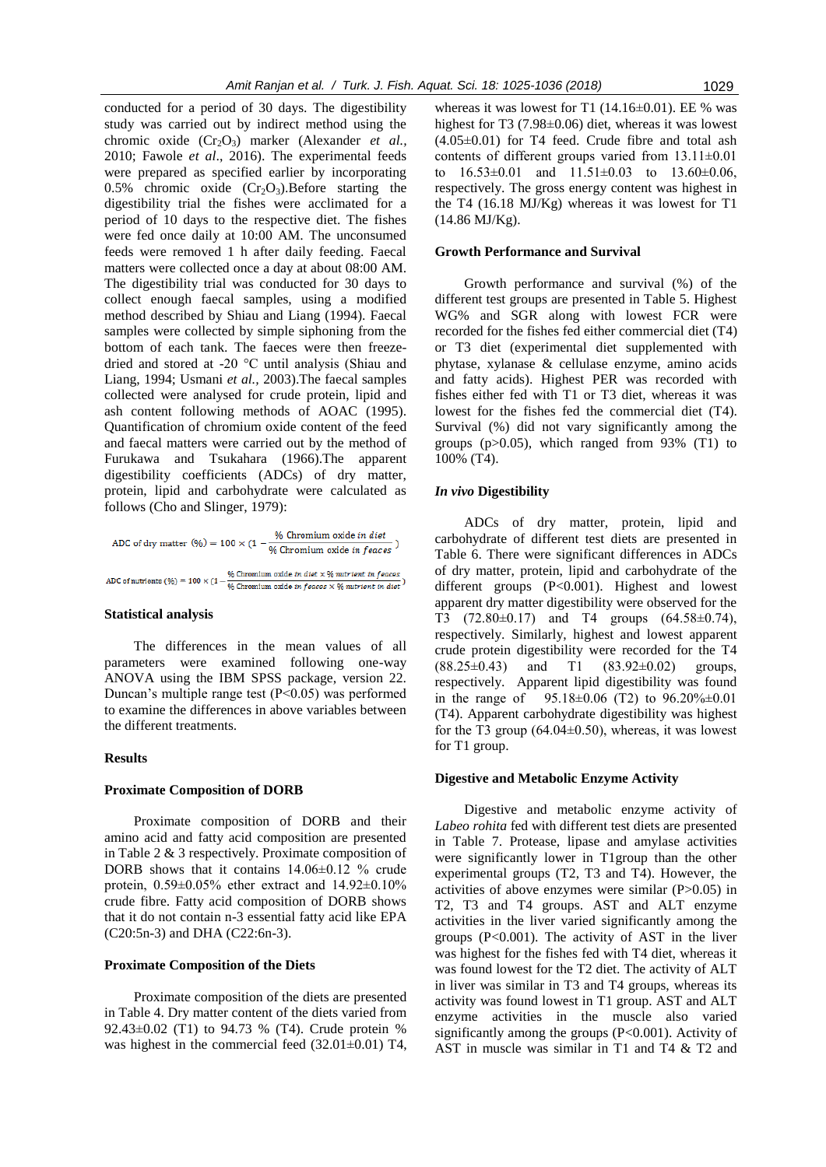conducted for a period of 30 days. The digestibility study was carried out by indirect method using the chromic oxide (Cr<sub>2</sub>O<sub>3</sub>) marker (Alexander *et al.*, 2010; Fawole *et al*., 2016). The experimental feeds were prepared as specified earlier by incorporating 0.5% chromic oxide  $(Cr<sub>2</sub>O<sub>3</sub>)$ . Before starting the digestibility trial the fishes were acclimated for a period of 10 days to the respective diet. The fishes were fed once daily at 10:00 AM. The unconsumed feeds were removed 1 h after daily feeding. Faecal matters were collected once a day at about 08:00 AM. The digestibility trial was conducted for 30 days to collect enough faecal samples, using a modified method described by Shiau and Liang (1994). Faecal samples were collected by simple siphoning from the bottom of each tank. The faeces were then freezedried and stored at -20 °C until analysis (Shiau and Liang, 1994; Usmani *et al.,* 2003).The faecal samples collected were analysed for crude protein, lipid and ash content following methods of AOAC (1995). Quantification of chromium oxide content of the feed and faecal matters were carried out by the method of Furukawa and Tsukahara (1966).The apparent digestibility coefficients (ADCs) of dry matter, protein, lipid and carbohydrate were calculated as follows (Cho and Slinger, 1979):

ADC of dry matter (%) = 100 × (1 -  $\frac{\%$  Chromium oxide in diet<br>% Chromium oxide in feaces) ADC of nutrients (%) = 100 × (1 - % Chromium oxide in diet × % nutrient in feaces × 06 nutrient in diet  $\frac{1}{2}$ 

### **Statistical analysis**

The differences in the mean values of all parameters were examined following one-way ANOVA using the IBM SPSS package, version 22. Duncan's multiple range test  $(P<0.05)$  was performed to examine the differences in above variables between the different treatments.

#### **Results**

#### **Proximate Composition of DORB**

Proximate composition of DORB and their amino acid and fatty acid composition are presented in Table 2 & 3 respectively. Proximate composition of DORB shows that it contains 14.06±0.12 % crude protein, 0.59±0.05% ether extract and 14.92±0.10% crude fibre. Fatty acid composition of DORB shows that it do not contain n-3 essential fatty acid like EPA (C20:5n-3) and DHA (C22:6n-3).

## **Proximate Composition of the Diets**

Proximate composition of the diets are presented in Table 4. Dry matter content of the diets varied from 92.43±0.02 (T1) to 94.73 % (T4). Crude protein % was highest in the commercial feed  $(32.01\pm0.01)$  T4,

whereas it was lowest for T1  $(14.16\pm0.01)$ . EE % was highest for T3 (7.98±0.06) diet, whereas it was lowest  $(4.05\pm0.01)$  for T4 feed. Crude fibre and total ash contents of different groups varied from 13.11±0.01 to  $16.53\pm0.01$  and  $11.51\pm0.03$  to  $13.60\pm0.06$ , respectively. The gross energy content was highest in the T4 (16.18 MJ/Kg) whereas it was lowest for T1 (14.86 MJ/Kg).

### **Growth Performance and Survival**

Growth performance and survival (%) of the different test groups are presented in Table 5. Highest WG% and SGR along with lowest FCR were recorded for the fishes fed either commercial diet (T4) or T3 diet (experimental diet supplemented with phytase, xylanase & cellulase enzyme, amino acids and fatty acids). Highest PER was recorded with fishes either fed with T1 or T3 diet, whereas it was lowest for the fishes fed the commercial diet (T4). Survival (%) did not vary significantly among the groups  $(p>0.05)$ , which ranged from 93% (T1) to 100% (T4).

## *In vivo* **Digestibility**

ADCs of dry matter, protein, lipid and carbohydrate of different test diets are presented in Table 6. There were significant differences in ADCs of dry matter, protein, lipid and carbohydrate of the different groups (P<0.001). Highest and lowest apparent dry matter digestibility were observed for the T3 (72.80±0.17) and T4 groups (64.58±0.74), respectively. Similarly, highest and lowest apparent crude protein digestibility were recorded for the T4  $(88.25\pm0.43)$  and T1  $(83.92\pm0.02)$  groups, respectively. Apparent lipid digestibility was found in the range of  $95.18\pm0.06$  (T2) to  $96.20\% \pm0.01$ (T4). Apparent carbohydrate digestibility was highest for the T3 group  $(64.04\pm0.50)$ , whereas, it was lowest for T1 group.

#### **Digestive and Metabolic Enzyme Activity**

Digestive and metabolic enzyme activity of *Labeo rohita* fed with different test diets are presented in Table 7. Protease, lipase and amylase activities were significantly lower in T1group than the other experimental groups (T2, T3 and T4). However, the activities of above enzymes were similar (P>0.05) in T2, T3 and T4 groups. AST and ALT enzyme activities in the liver varied significantly among the groups  $(P<0.001)$ . The activity of AST in the liver was highest for the fishes fed with T4 diet, whereas it was found lowest for the T2 diet. The activity of ALT in liver was similar in T3 and T4 groups, whereas its activity was found lowest in T1 group. AST and ALT enzyme activities in the muscle also varied significantly among the groups  $(P<0.001)$ . Activity of AST in muscle was similar in T1 and T4 & T2 and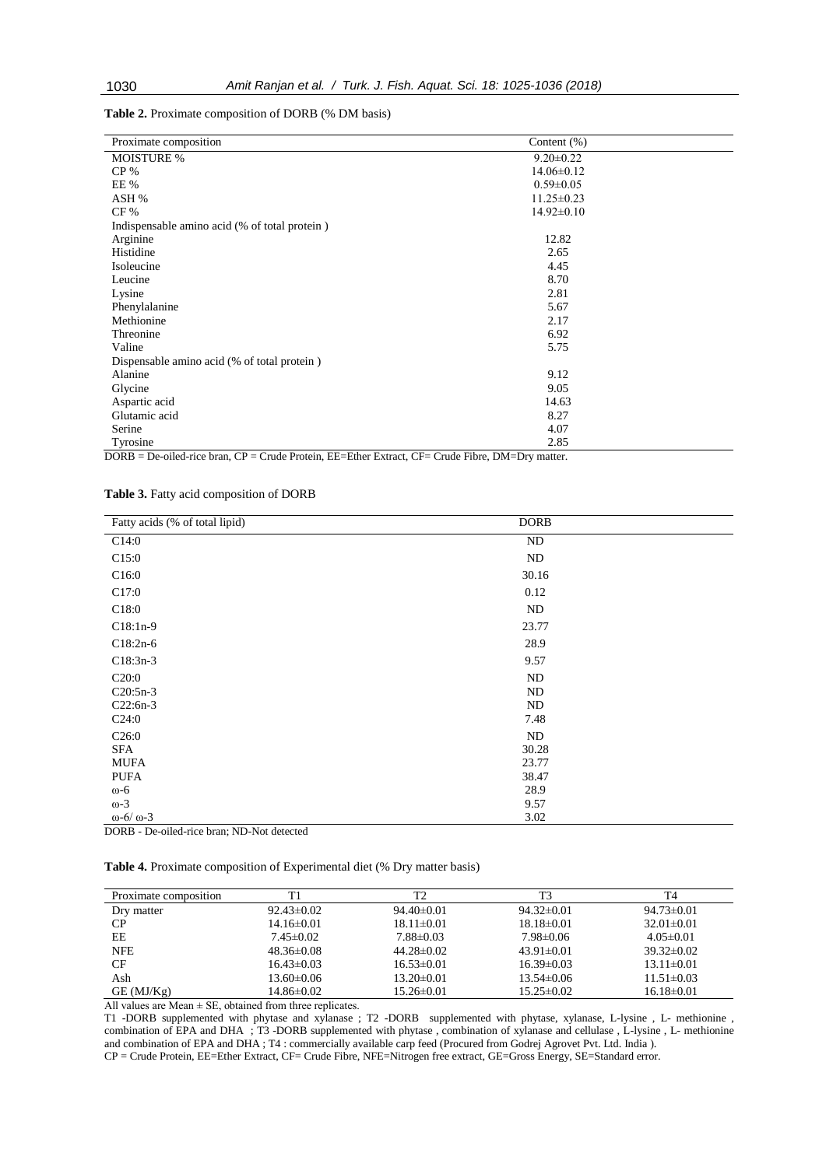**Table 2.** Proximate composition of DORB (% DM basis)

| Proximate composition                             | Content $(\% )$      |
|---------------------------------------------------|----------------------|
| <b>MOISTURE %</b>                                 | $9.20 \pm 0.22$      |
| $CP\%$                                            | $14.06 \pm 0.12$     |
| EE %                                              | $0.59 \pm 0.05$      |
| ASH %                                             | $11.25 \pm 0.23$     |
| $CF\%$                                            | $14.92 \pm 0.10$     |
| Indispensable amino acid (% of total protein)     |                      |
| Arginine                                          | 12.82                |
| Histidine                                         | 2.65                 |
| Isoleucine                                        | 4.45                 |
| Leucine                                           | 8.70                 |
| Lysine                                            | 2.81                 |
| Phenylalanine                                     | 5.67                 |
| Methionine                                        | 2.17                 |
| Threonine                                         | 6.92                 |
| Valine                                            | 5.75                 |
| Dispensable amino acid (% of total protein)       |                      |
| Alanine                                           | 9.12                 |
| Glycine                                           | 9.05                 |
| Aspartic acid                                     | 14.63                |
| Glutamic acid                                     | 8.27                 |
| Serine                                            | 4.07                 |
| Tyrosine<br>DODD DUU'I OD CID J' FE FAIR JOE CIFT | 2.85<br>$\mathbf{D}$ |

DORB = De-oiled-rice bran, CP = Crude Protein, EE=Ether Extract, CF= Crude Fibre, DM=Dry matter.

**Table 3.** Fatty acid composition of DORB

| Fatty acids (% of total lipid)                                                      | <b>DORB</b> |  |
|-------------------------------------------------------------------------------------|-------------|--|
| C14:0                                                                               | ND          |  |
| C15:0                                                                               | ND          |  |
| C16:0                                                                               | 30.16       |  |
| C17:0                                                                               | 0.12        |  |
| C18:0                                                                               | ND          |  |
| $C18:1n-9$                                                                          | 23.77       |  |
| $C18:2n-6$                                                                          | 28.9        |  |
| $C18:3n-3$                                                                          | 9.57        |  |
| C20:0                                                                               | ND          |  |
| $C20:5n-3$                                                                          | ND          |  |
| $C22:6n-3$                                                                          | ND          |  |
| C24:0                                                                               | 7.48        |  |
| C26:0                                                                               | ND          |  |
| SFA                                                                                 | 30.28       |  |
| <b>MUFA</b>                                                                         | 23.77       |  |
| <b>PUFA</b>                                                                         | 38.47       |  |
| $\omega$ -6                                                                         | 28.9        |  |
| $\omega$ -3                                                                         | 9.57        |  |
| $\omega$ -6/ $\omega$ -3<br><b>STEP STATES STATES</b><br><b>POPP PUBLIC CONTROL</b> | 3.02        |  |

DORB - De-oiled-rice bran; ND-Not detected

**Table 4.** Proximate composition of Experimental diet (% Dry matter basis)

| Proximate composition | T <sup>1</sup>   | T2               | T3               | Т4               |
|-----------------------|------------------|------------------|------------------|------------------|
| Dry matter            | $92.43 \pm 0.02$ | $94.40\pm0.01$   | $94.32\pm0.01$   | $94.73 \pm 0.01$ |
| CP.                   | $14.16\pm0.01$   | $18.11 \pm 0.01$ | $18.18 \pm 0.01$ | $32.01 \pm 0.01$ |
| EЕ                    | $7.45\pm0.02$    | $7.88 \pm 0.03$  | $7.98 \pm 0.06$  | $4.05 \pm 0.01$  |
| <b>NFE</b>            | $48.36\pm0.08$   | $44.28 \pm 0.02$ | $43.91 \pm 0.01$ | $39.32\pm0.02$   |
| CF                    | $16.43\pm0.03$   | $16.53\pm0.01$   | $16.39\pm0.03$   | $13.11 \pm 0.01$ |
| Ash                   | $13.60\pm0.06$   | $13.20 \pm 0.01$ | $13.54\pm0.06$   | $11.51\pm0.03$   |
| $GE$ (MJ/ $Kg$ )      | $14.86 \pm 0.02$ | $15.26 \pm 0.01$ | $15.25 \pm 0.02$ | $16.18\pm0.01$   |

All values are Mean  $\pm$  SE, obtained from three replicates.

T1 -DORB supplemented with phytase and xylanase ; T2 -DORB supplemented with phytase, xylanase, L-lysine , L- methionine , combination of EPA and DHA ; T3 -DORB supplemented with phytase , combination of xylanase and cellulase , L-lysine , L- methionine and combination of EPA and DHA ; T4 : commercially available carp feed (Procured from Godrej Agrovet Pvt. Ltd. India ). CP = Crude Protein, EE=Ether Extract, CF= Crude Fibre, NFE=Nitrogen free extract, GE=Gross Energy, SE=Standard error.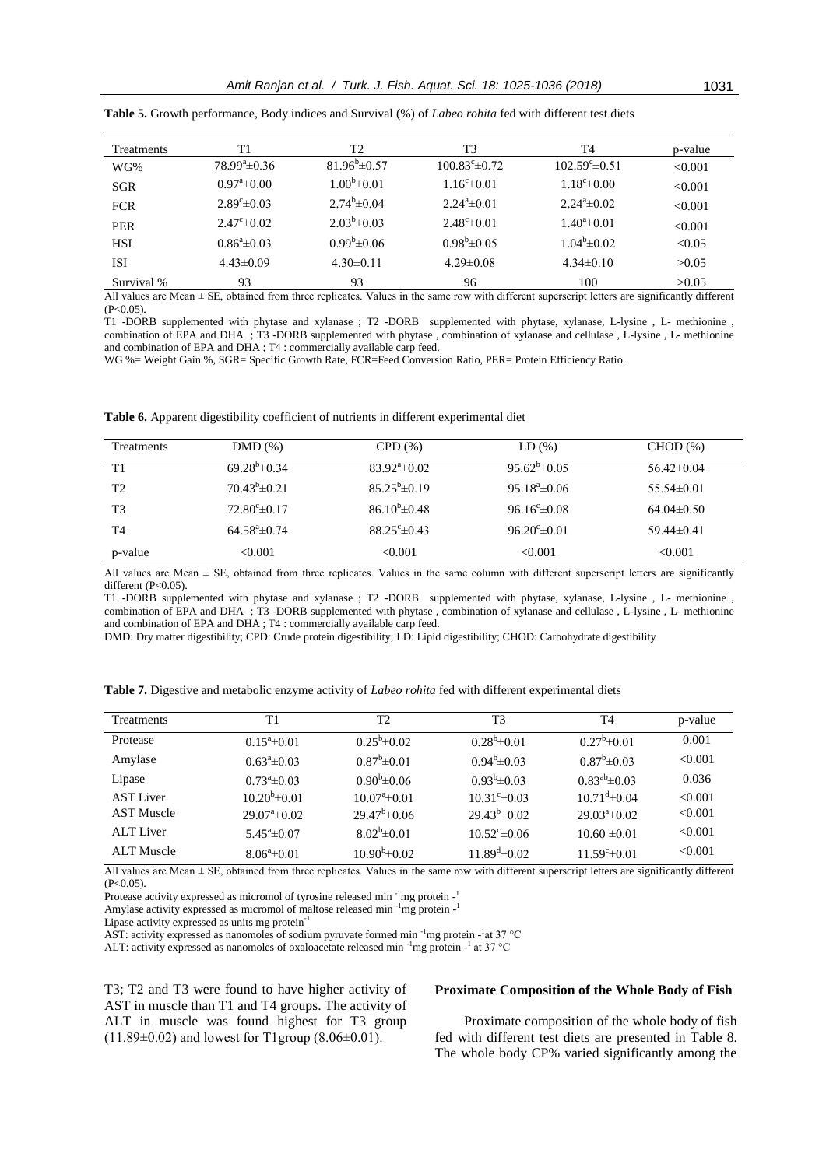| <b>Treatments</b> | T1                      | T2                       | T3                      | T4                        | p-value |
|-------------------|-------------------------|--------------------------|-------------------------|---------------------------|---------|
| WG%               | $78.99^{\circ}$ ±0.36   | $81.96^{\circ} \pm 0.57$ | $100.83^{\circ}$ ± 0.72 | $102.59^{\circ} \pm 0.51$ | < 0.001 |
| <b>SGR</b>        | $0.97^{\circ}$ = 0.00   | $1.00^{\rm b} \pm 0.01$  | $1.16^{\circ} \pm 0.01$ | $1.18^{\circ}$ ± 0.00     | < 0.001 |
| <b>FCR</b>        | $2.89^{\circ} \pm 0.03$ | $2.74^b \pm 0.04$        | $2.24^a \pm 0.01$       | $2.24^{\circ} \pm 0.02$   | < 0.001 |
| <b>PER</b>        | $2.47^{\circ} \pm 0.02$ | $2.03^b \pm 0.03$        | $2.48^{\circ} \pm 0.01$ | $1.40^a \pm 0.01$         | < 0.001 |
| <b>HSI</b>        | $0.86^{\circ}$ ± 0.03   | $0.99^b \pm 0.06$        | $0.98^b \pm 0.05$       | $1.04^b \pm 0.02$         | < 0.05  |
| <b>ISI</b>        | $4.43\pm0.09$           | $4.30\pm0.11$            | $4.29 \pm 0.08$         | $4.34\pm0.10$             | >0.05   |
| Survival %        | 93                      | 93                       | 96                      | 100                       | >0.05   |

**Table 5.** Growth performance, Body indices and Survival (%) of *Labeo rohita* fed with different test diets

All values are Mean ± SE, obtained from three replicates. Values in the same row with different superscript letters are significantly different  $(P<0.05)$ .

T1 -DORB supplemented with phytase and xylanase ; T2 -DORB supplemented with phytase, xylanase, L-lysine , L- methionine , combination of EPA and DHA ; T3 -DORB supplemented with phytase , combination of xylanase and cellulase , L-lysine , L- methionine and combination of EPA and DHA ; T4 : commercially available carp feed.

WG %= Weight Gain %, SGR= Specific Growth Rate, FCR=Feed Conversion Ratio, PER= Protein Efficiency Ratio.

**Table 6.** Apparent digestibility coefficient of nutrients in different experimental diet

| Treatments     | DMD(%)                   | CPD(%)                   | LD(%)                    | CHOD(%)          |
|----------------|--------------------------|--------------------------|--------------------------|------------------|
| T1             | $69.28^{\circ}$ ± 0.34   | $83.92^{\circ} \pm 0.02$ | $95.62^{\circ} \pm 0.05$ | $56.42 \pm 0.04$ |
| T <sub>2</sub> | $70.43^b \pm 0.21$       | $85.25^{\rm b} \pm 0.19$ | $95.18^{\circ}$ ± 0.06   | $55.54\pm0.01$   |
| T3             | $72.80^{\circ} \pm 0.17$ | $86.10^{b} \pm 0.48$     | $96.16^{\circ} \pm 0.08$ | $64.04\pm0.50$   |
| T4             | $64.58^{\circ}$ ±0.74    | $88.25^{\circ} \pm 0.43$ | $96.20^{\circ} \pm 0.01$ | $59.44\pm0.41$   |
| p-value        | < 0.001                  | < 0.001                  | < 0.001                  | < 0.001          |

All values are Mean  $\pm$  SE, obtained from three replicates. Values in the same column with different superscript letters are significantly different (P<0.05).

T1 -DORB supplemented with phytase and xylanase ; T2 -DORB supplemented with phytase, xylanase, L-lysine , L- methionine , combination of EPA and DHA ; T3 -DORB supplemented with phytase , combination of xylanase and cellulase , L-lysine , L- methionine and combination of EPA and DHA ; T4 : commercially available carp feed.

DMD: Dry matter digestibility; CPD: Crude protein digestibility; LD: Lipid digestibility; CHOD: Carbohydrate digestibility

| Τ1                    | T2                       | T3                                                                                                               | T4                       | p-value                                           |
|-----------------------|--------------------------|------------------------------------------------------------------------------------------------------------------|--------------------------|---------------------------------------------------|
| $0.15^{\circ}$ ± 0.01 | $0.25^b \pm 0.02$        | $0.28^{\circ}$ ± 0.01                                                                                            | $0.27^{\circ}$ ± 0.01    | 0.001                                             |
| $0.63^{\circ}$ ± 0.03 | $0.87^b \pm 0.01$        | $0.94^b \pm 0.03$                                                                                                | $0.87^b \pm 0.03$        | < 0.001                                           |
| $0.73^{\circ}$ ± 0.03 | $0.90^{\rm b} \pm 0.06$  | $0.93^b \pm 0.03$                                                                                                | $0.83^{ab}$ ± 0.03       | 0.036                                             |
| $10.20^{b} \pm 0.01$  | $10.07^{\circ}$ ±0.01    | $10.31^{\circ} \pm 0.03$                                                                                         | $10.71^{d} \pm 0.04$     | < 0.001                                           |
| $29.07^{\circ}$ ±0.02 | $29.47^b \pm 0.06$       | $29.43^{b} \pm 0.02$                                                                                             | $29.03^{\circ}$ ±0.02    | < 0.001                                           |
| $5.45^{\circ}$ ±0.07  | $8.02^b \pm 0.01$        | $10.52^{\circ}$ ± 0.06                                                                                           | $10.60^{\circ} \pm 0.01$ | < 0.001                                           |
| $8.06^a \pm 0.01$     | $10.90^{\rm b} \pm 0.02$ | $11.89^{\mathrm{d}}\pm 0.02$                                                                                     | $11.59^{\circ}$ ± 0.01   | < 0.001                                           |
|                       |                          | $\mathbf{1}^{\star}$ , $\mathbf{1}^{\star}$ , $\mathbf{1}^{\star}$ , $\mathbf{1}^{\star}$ , $\mathbf{1}^{\star}$ | $1.1 - 11.00$            | $\cdot$ $\sim$<br>$\cdot$ $\cdot$ $\cdot$ $\cdot$ |

**Table 7.** Digestive and metabolic enzyme activity of *Labeo rohita* fed with different experimental diets

All values are Mean ± SE, obtained from three replicates. Values in the same row with different superscript letters are significantly different  $(P<0.05)$ .

Protease activity expressed as micromol of tyrosine released min<sup>-1</sup>mg protein-

Amylase activity expressed as micromol of maltose released min<sup>-1</sup>mg protein-

Lipase activity expressed as units mg protein-1

AST: activity expressed as nanomoles of sodium pyruvate formed min <sup>-1</sup>mg protein -<sup>1</sup>at 37 °C

ALT: activity expressed as nanomoles of oxaloacetate released min <sup>-1</sup>mg protein -<sup>1</sup> at 37 °C

T3; T2 and T3 were found to have higher activity of AST in muscle than T1 and T4 groups. The activity of ALT in muscle was found highest for T3 group  $(11.89\pm0.02)$  and lowest for T1group  $(8.06\pm0.01)$ .

## **Proximate Composition of the Whole Body of Fish**

Proximate composition of the whole body of fish fed with different test diets are presented in Table 8. The whole body CP% varied significantly among the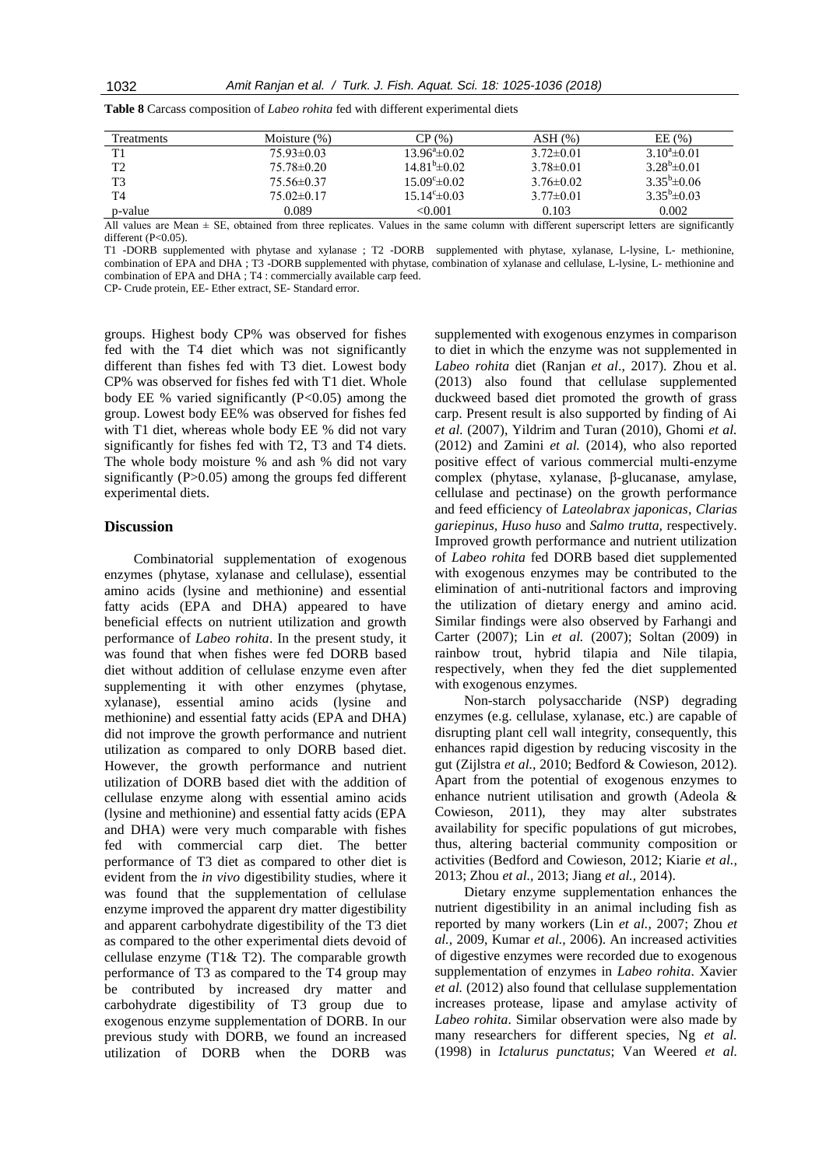| <b>Treatments</b> | Moisture $(\%)$ | CP(%)                        | $ASH$ $(\%)$    | EE(%)               |
|-------------------|-----------------|------------------------------|-----------------|---------------------|
| T1                | $75.93\pm0.03$  | $13.96^{\circ}$ ±0.02        | $3.72 \pm 0.01$ | $3.10^4 \pm 0.01$   |
| T2                | $75.78\pm0.20$  | $14.81^{\mathrm{b}}\pm 0.02$ | $3.78 \pm 0.01$ | $3.28^{b} \pm 0.01$ |
| T3                | $75.56\pm0.37$  | $15.09^{\circ} \pm 0.02$     | $3.76\pm0.02$   | $3.35^b \pm 0.06$   |
| T4                | $75.02\pm0.17$  | $15.14^{\circ} \pm 0.03$     | $3.77\pm0.01$   | $3.35^b \pm 0.03$   |
| p-value           | 0.089           | <0.001                       | 0.103           | 0.002               |

**Table 8** Carcass composition of *Labeo rohita* fed with different experimental diets

All values are Mean  $\pm$  SE, obtained from three replicates. Values in the same column with different superscript letters are significantly different (P<0.05).

T1 -DORB supplemented with phytase and xylanase ; T2 -DORB supplemented with phytase, xylanase, L-lysine, L- methionine, combination of EPA and DHA ; T3 -DORB supplemented with phytase, combination of xylanase and cellulase, L-lysine, L- methionine and combination of EPA and DHA ; T4 : commercially available carp feed.

CP- Crude protein, EE- Ether extract, SE- Standard error.

groups. Highest body CP% was observed for fishes fed with the T4 diet which was not significantly different than fishes fed with T3 diet. Lowest body CP% was observed for fishes fed with T1 diet. Whole body EE % varied significantly  $(P<0.05)$  among the group. Lowest body EE% was observed for fishes fed with T1 diet, whereas whole body EE % did not vary significantly for fishes fed with T2, T3 and T4 diets. The whole body moisture % and ash % did not vary significantly (P>0.05) among the groups fed different experimental diets.

## **Discussion**

Combinatorial supplementation of exogenous enzymes (phytase, xylanase and cellulase), essential amino acids (lysine and methionine) and essential fatty acids (EPA and DHA) appeared to have beneficial effects on nutrient utilization and growth performance of *Labeo rohita*. In the present study, it was found that when fishes were fed DORB based diet without addition of cellulase enzyme even after supplementing it with other enzymes (phytase, xylanase), essential amino acids (lysine and methionine) and essential fatty acids (EPA and DHA) did not improve the growth performance and nutrient utilization as compared to only DORB based diet. However, the growth performance and nutrient utilization of DORB based diet with the addition of cellulase enzyme along with essential amino acids (lysine and methionine) and essential fatty acids (EPA and DHA) were very much comparable with fishes fed with commercial carp diet. The better performance of T3 diet as compared to other diet is evident from the *in vivo* digestibility studies, where it was found that the supplementation of cellulase enzyme improved the apparent dry matter digestibility and apparent carbohydrate digestibility of the T3 diet as compared to the other experimental diets devoid of cellulase enzyme (T1& T2). The comparable growth performance of T3 as compared to the T4 group may be contributed by increased dry matter and carbohydrate digestibility of T3 group due to exogenous enzyme supplementation of DORB. In our previous study with DORB, we found an increased utilization of DORB when the DORB was

supplemented with exogenous enzymes in comparison to diet in which the enzyme was not supplemented in *Labeo rohita* diet (Ranjan *et al*., 2017). Zhou et al. (2013) also found that cellulase supplemented duckweed based diet promoted the growth of grass carp. Present result is also supported by finding of Ai *et al.* (2007), Yildrim and Turan (2010), Ghomi *et al.* (2012) and Zamini *et al.* (2014), who also reported positive effect of various commercial multi-enzyme complex (phytase, xylanase, β-glucanase, amylase, cellulase and pectinase) on the growth performance and feed efficiency of *Lateolabrax japonicas*, *Clarias gariepinus, Huso huso* and *Salmo trutta,* respectively. Improved growth performance and nutrient utilization of *Labeo rohita* fed DORB based diet supplemented with exogenous enzymes may be contributed to the elimination of anti-nutritional factors and improving the utilization of dietary energy and amino acid. Similar findings were also observed by Farhangi and Carter (2007); Lin *et al.* (2007); Soltan (2009) in rainbow trout, hybrid tilapia and Nile tilapia, respectively, when they fed the diet supplemented with exogenous enzymes.

Non-starch polysaccharide (NSP) degrading enzymes (e.g. cellulase, xylanase, etc.) are capable of disrupting plant cell wall integrity, consequently, this enhances rapid digestion by reducing viscosity in the gut (Zijlstra *et al.,* 2010; Bedford & Cowieson, 2012). Apart from the potential of exogenous enzymes to enhance nutrient utilisation and growth (Adeola & Cowieson, 2011), they may alter substrates availability for specific populations of gut microbes, thus, altering bacterial community composition or activities (Bedford and Cowieson, 2012; Kiarie *et al.,* 2013; Zhou *et al.,* 2013; Jiang *et al.,* 2014).

Dietary enzyme supplementation enhances the nutrient digestibility in an animal including fish as reported by many workers (Lin *et al.,* 2007; Zhou *et al.,* 2009, Kumar *et al.,* 2006). An increased activities of digestive enzymes were recorded due to exogenous supplementation of enzymes in *Labeo rohita*. Xavier *et al.* (2012) also found that cellulase supplementation increases protease, lipase and amylase activity of *Labeo rohita*. Similar observation were also made by many researchers for different species, Ng *et al.* (1998) in *Ictalurus punctatus*; Van Weered *et al.*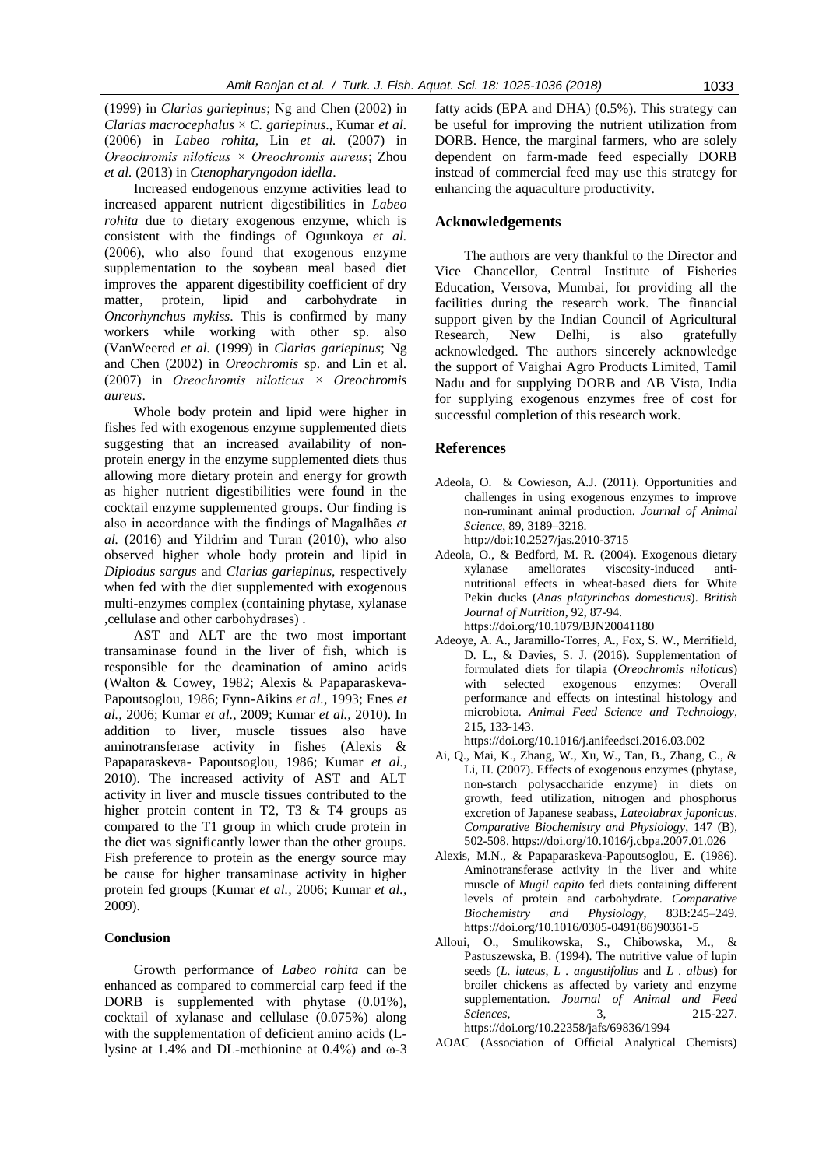(1999) in *Clarias gariepinus*; Ng and Chen (2002) in *Clarias macrocephalus* × *C. gariepinus*., Kumar *et al.* (2006) in *Labeo rohita*, Lin *et al.* (2007) in *Oreochromis niloticus × Oreochromis aureus*; Zhou *et al.* (2013) in *Ctenopharyngodon idella*.

Increased endogenous enzyme activities lead to increased apparent nutrient digestibilities in *Labeo rohita* due to dietary exogenous enzyme, which is consistent with the findings of Ogunkoya *et al.* (2006), who also found that exogenous enzyme supplementation to the soybean meal based diet improves the apparent digestibility coefficient of dry matter, protein, lipid and carbohydrate in *Oncorhynchus mykiss*. This is confirmed by many workers while working with other sp. also (VanWeered *et al.* (1999) in *Clarias gariepinus*; Ng and Chen (2002) in *Oreochromis* sp. and Lin et al. (2007) in *Oreochromis niloticus × Oreochromis aureus*.

Whole body protein and lipid were higher in fishes fed with exogenous enzyme supplemented diets suggesting that an increased availability of nonprotein energy in the enzyme supplemented diets thus allowing more dietary protein and energy for growth as higher nutrient digestibilities were found in the cocktail enzyme supplemented groups. Our finding is also in accordance with the findings of Magalhães *et al.* (2016) and Yildrim and Turan (2010), who also observed higher whole body protein and lipid in *Diplodus sargus* and *Clarias gariepinus,* respectively when fed with the diet supplemented with exogenous multi-enzymes complex (containing phytase, xylanase ,cellulase and other carbohydrases) .

AST and ALT are the two most important transaminase found in the liver of fish, which is responsible for the deamination of amino acids (Walton & Cowey, 1982; Alexis & Papaparaskeva-Papoutsoglou, 1986; Fynn-Aikins *et al.,* 1993; Enes *et al.,* 2006; Kumar *et al.,* 2009; Kumar *et al.,* 2010). In addition to liver, muscle tissues also have aminotransferase activity in fishes (Alexis & Papaparaskeva- Papoutsoglou, 1986; Kumar *et al.,* 2010). The increased activity of AST and ALT activity in liver and muscle tissues contributed to the higher protein content in T2, T3 & T4 groups as compared to the T1 group in which crude protein in the diet was significantly lower than the other groups. Fish preference to protein as the energy source may be cause for higher transaminase activity in higher protein fed groups (Kumar *et al.,* 2006; Kumar *et al.,* 2009).

# **Conclusion**

Growth performance of *Labeo rohita* can be enhanced as compared to commercial carp feed if the DORB is supplemented with phytase (0.01%), cocktail of xylanase and cellulase (0.075%) along with the supplementation of deficient amino acids (Llysine at 1.4% and DL-methionine at  $0.4\%$ ) and  $\omega$ -3

fatty acids (EPA and DHA) (0.5%). This strategy can be useful for improving the nutrient utilization from DORB. Hence, the marginal farmers, who are solely dependent on farm-made feed especially DORB instead of commercial feed may use this strategy for enhancing the aquaculture productivity.

# **Acknowledgements**

The authors are very thankful to the Director and Vice Chancellor, Central Institute of Fisheries Education, Versova, Mumbai, for providing all the facilities during the research work. The financial support given by the Indian Council of Agricultural Research, New Delhi, is also gratefully acknowledged. The authors sincerely acknowledge the support of Vaighai Agro Products Limited, Tamil Nadu and for supplying DORB and AB Vista, India for supplying exogenous enzymes free of cost for successful completion of this research work.

## **References**

- Adeola, O. & Cowieson, A.J. (2011). Opportunities and challenges in using exogenous enzymes to improve non-ruminant animal production. *Journal of Animal Science*, 89, 3189–3218. http://doi:10.2527/jas.2010-3715
- Adeola, O., & Bedford, M. R. (2004). Exogenous dietary
- xylanase ameliorates viscosity-induced antinutritional effects in wheat-based diets for White Pekin ducks (*Anas platyrinchos domesticus*). *British Journal of Nutrition*, 92, 87-94. https://doi.org/10.1079/BJN20041180
- Adeoye, A. A., Jaramillo-Torres, A., Fox, S. W., Merrifield, D. L., & Davies, S. J. (2016). Supplementation of formulated diets for tilapia (*Oreochromis niloticus*) with selected exogenous enzymes: Overall performance and effects on intestinal histology and microbiota. *Animal Feed Science and Technology*, 215, 133-143.

https://doi.org/10.1016/j.anifeedsci.2016.03.002

- Ai, Q., Mai, K., Zhang, W., Xu, W., Tan, B., Zhang, C., & Li, H. (2007). Effects of exogenous enzymes (phytase, non-starch polysaccharide enzyme) in diets on growth, feed utilization, nitrogen and phosphorus excretion of Japanese seabass, *Lateolabrax japonicus*. *Comparative Biochemistry and Physiology*, 147 (B), 502-508. https://doi.org/10.1016/j.cbpa.2007.01.026
- Alexis, M.N., & Papaparaskeva-Papoutsoglou, E. (1986). Aminotransferase activity in the liver and white muscle of *Mugil capito* fed diets containing different levels of protein and carbohydrate. *Comparative Biochemistry and Physiology*, 83B:245–249. https://doi.org/10.1016/0305-0491(86)90361-5
- Alloui, O., Smulikowska, S., Chibowska, M., & Pastuszewska, B. (1994). The nutritive value of lupin seeds (*L. luteus, L . angustifolius* and *L . albus*) for broiler chickens as affected by variety and enzyme supplementation. *Journal of Animal and Feed Sciences*, 3, 215-227. https://doi.org/10.22358/jafs/69836/1994
- AOAC (Association of Official Analytical Chemists)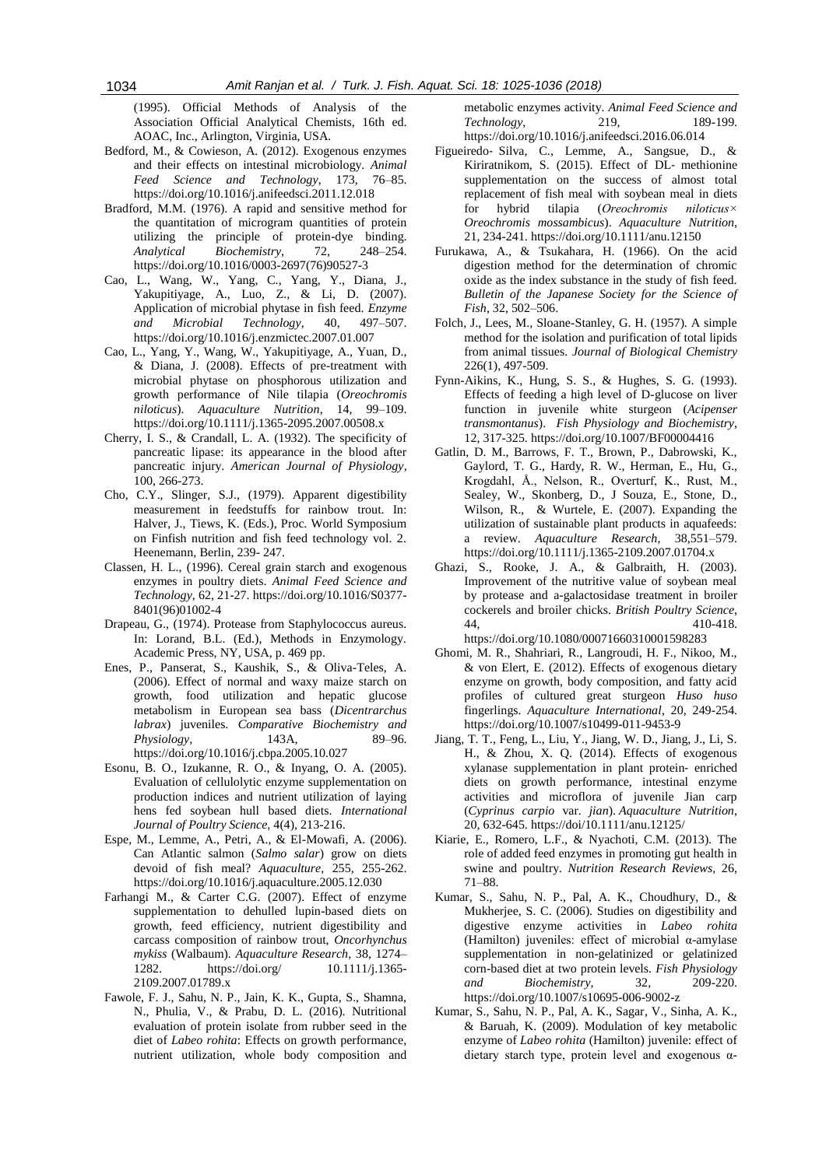(1995). Official Methods of Analysis of the Association Official Analytical Chemists, 16th ed. AOAC, Inc., Arlington, Virginia, USA.

- Bedford, M., & Cowieson, A. (2012). Exogenous enzymes and their effects on intestinal microbiology. *Animal Feed Science and Technology*, 173, 76–85. https://doi.org/10.1016/j.anifeedsci.2011.12.018
- Bradford, M.M. (1976). A rapid and sensitive method for the quantitation of microgram quantities of protein utilizing the principle of protein-dye binding. *Analytical Biochemistry*, 72, 248–254. https://doi.org/10.1016/0003-2697(76)90527-3
- Cao, L., Wang, W., Yang, C., Yang, Y., Diana, J., Yakupitiyage, A., Luo, Z., & Li, D. (2007). Application of microbial phytase in fish feed. *Enzyme and Microbial Technology*, 40, 497–507. https://doi.org/10.1016/j.enzmictec.2007.01.007
- Cao, L., Yang, Y., Wang, W., Yakupitiyage, A., Yuan, D., & Diana, J. (2008). Effects of pre-treatment with microbial phytase on phosphorous utilization and growth performance of Nile tilapia (*Oreochromis niloticus*). *Aquaculture Nutrition*, 14, 99–109. https://doi.org/10.1111/j.1365-2095.2007.00508.x
- Cherry, I. S., & Crandall, L. A. (1932). The specificity of pancreatic lipase: its appearance in the blood after pancreatic injury. *American Journal of Physiology*, 100, 266-273.
- Cho, C.Y., Slinger, S.J., (1979). Apparent digestibility measurement in feedstuffs for rainbow trout. In: Halver, J., Tiews, K. (Eds.), Proc. World Symposium on Finfish nutrition and fish feed technology vol. 2. Heenemann, Berlin, 239- 247.
- Classen, H. L., (1996). Cereal grain starch and exogenous enzymes in poultry diets. *Animal Feed Science and Technology*, 62, 21-27. https://doi.org/10.1016/S0377- 8401(96)01002-4
- Drapeau, G., (1974). Protease from Staphylococcus aureus. In: Lorand, B.L. (Ed.), Methods in Enzymology. Academic Press, NY, USA, p. 469 pp.
- Enes, P., Panserat, S., Kaushik, S., & Oliva-Teles, A. (2006). Effect of normal and waxy maize starch on growth, food utilization and hepatic glucose metabolism in European sea bass (*Dicentrarchus labrax*) juveniles. *Comparative Biochemistry and Physiology*, 143A, 89–96. https://doi.org/10.1016/j.cbpa.2005.10.027
- Esonu, B. O., Izukanne, R. O., & Inyang, O. A. (2005). Evaluation of cellulolytic enzyme supplementation on production indices and nutrient utilization of laying hens fed soybean hull based diets. *International Journal of Poultry Science*, 4(4), 213-216.
- Espe, M., Lemme, A., Petri, A., & El-Mowafi, A. (2006). Can Atlantic salmon (*Salmo salar*) grow on diets devoid of fish meal? *Aquaculture*, 255, 255-262. https://doi.org/10.1016/j.aquaculture.2005.12.030
- Farhangi M., & Carter C.G. (2007). Effect of enzyme supplementation to dehulled lupin-based diets on growth, feed efficiency, nutrient digestibility and carcass composition of rainbow trout, *Oncorhynchus mykiss* (Walbaum). *Aquaculture Research*, 38, 1274– 1282. https://doi.org/ 10.1111/j.1365- 2109.2007.01789.x
- Fawole, F. J., Sahu, N. P., Jain, K. K., Gupta, S., Shamna, N., Phulia, V., & Prabu, D. L. (2016). Nutritional evaluation of protein isolate from rubber seed in the diet of *Labeo rohita*: Effects on growth performance, nutrient utilization, whole body composition and

metabolic enzymes activity. *Animal Feed Science and Technology*, 219, 189-199. https://doi.org/10.1016/j.anifeedsci.2016.06.014

- Figueiredo‐ Silva, C., Lemme, A., Sangsue, D., & Kiriratnikom, S. (2015). Effect of DL‐ methionine supplementation on the success of almost total replacement of fish meal with soybean meal in diets for hybrid tilapia (*Oreochromis niloticus× Oreochromis mossambicus*). *Aquaculture Nutrition*, 21, 234-241. https://doi.org/10.1111/anu.12150
- Furukawa, A., & Tsukahara, H. (1966). On the acid digestion method for the determination of chromic oxide as the index substance in the study of fish feed. *Bulletin of the Japanese Society for the Science of Fish*, 32, 502–506.
- Folch, J., Lees, M., Sloane-Stanley, G. H. (1957). A simple method for the isolation and purification of total lipids from animal tissues. *Journal of Biological Chemistry* 226(1), 497-509.
- Fynn-Aikins, K., Hung, S. S., & Hughes, S. G. (1993). Effects of feeding a high level of D-glucose on liver function in juvenile white sturgeon (*Acipenser transmontanus*). *Fish Physiology and Biochemistry*, 12, 317-325. https://doi.org/10.1007/BF00004416
- Gatlin, D. M., Barrows, F. T., Brown, P., Dabrowski, K., Gaylord, T. G., Hardy, R. W., Herman, E., Hu, G., Krogdahl, Å., Nelson, R., Overturf, K., Rust, M., Sealey, W., Skonberg, D., J Souza, E., Stone, D., Wilson, R., & Wurtele, E. (2007). Expanding the utilization of sustainable plant products in aquafeeds: a review. *Aquaculture Research*, 38,551–579. https://doi.org/10.1111/j.1365-2109.2007.01704.x
- Ghazi, S., Rooke, J. A., & Galbraith, H. (2003). Improvement of the nutritive value of soybean meal by protease and a-galactosidase treatment in broiler cockerels and broiler chicks. *British Poultry Science*, 44, 410-418. https://doi.org/10.1080/00071660310001598283
- Ghomi, M. R., Shahriari, R., Langroudi, H. F., Nikoo, M., & von Elert, E. (2012). Effects of exogenous dietary enzyme on growth, body composition, and fatty acid profiles of cultured great sturgeon *Huso huso* fingerlings. *Aquaculture International*, 20, 249-254. https://doi.org/10.1007/s10499-011-9453-9
- Jiang, T. T., Feng, L., Liu, Y., Jiang, W. D., Jiang, J., Li, S. H., & Zhou, X. Q. (2014). Effects of exogenous xylanase supplementation in plant protein‐ enriched diets on growth performance, intestinal enzyme activities and microflora of juvenile Jian carp (*Cyprinus carpio* var. *jian*). *Aquaculture Nutrition*, 20, 632-645. https://doi/10.1111/anu.12125/
- Kiarie, E., Romero, L.F., & Nyachoti, C.M. (2013). The role of added feed enzymes in promoting gut health in swine and poultry. *Nutrition Research Reviews*, 26, 71–88.
- Kumar, S., Sahu, N. P., Pal, A. K., Choudhury, D., & Mukherjee, S. C. (2006). Studies on digestibility and digestive enzyme activities in *Labeo rohita* (Hamilton) juveniles: effect of microbial α-amylase supplementation in non-gelatinized or gelatinized corn-based diet at two protein levels. *Fish Physiology and Biochemistry*, 32, 209-220. https://doi.org/10.1007/s10695-006-9002-z
- Kumar, S., Sahu, N. P., Pal, A. K., Sagar, V., Sinha, A. K., & Baruah, K. (2009). Modulation of key metabolic enzyme of *Labeo rohita* (Hamilton) juvenile: effect of dietary starch type, protein level and exogenous α-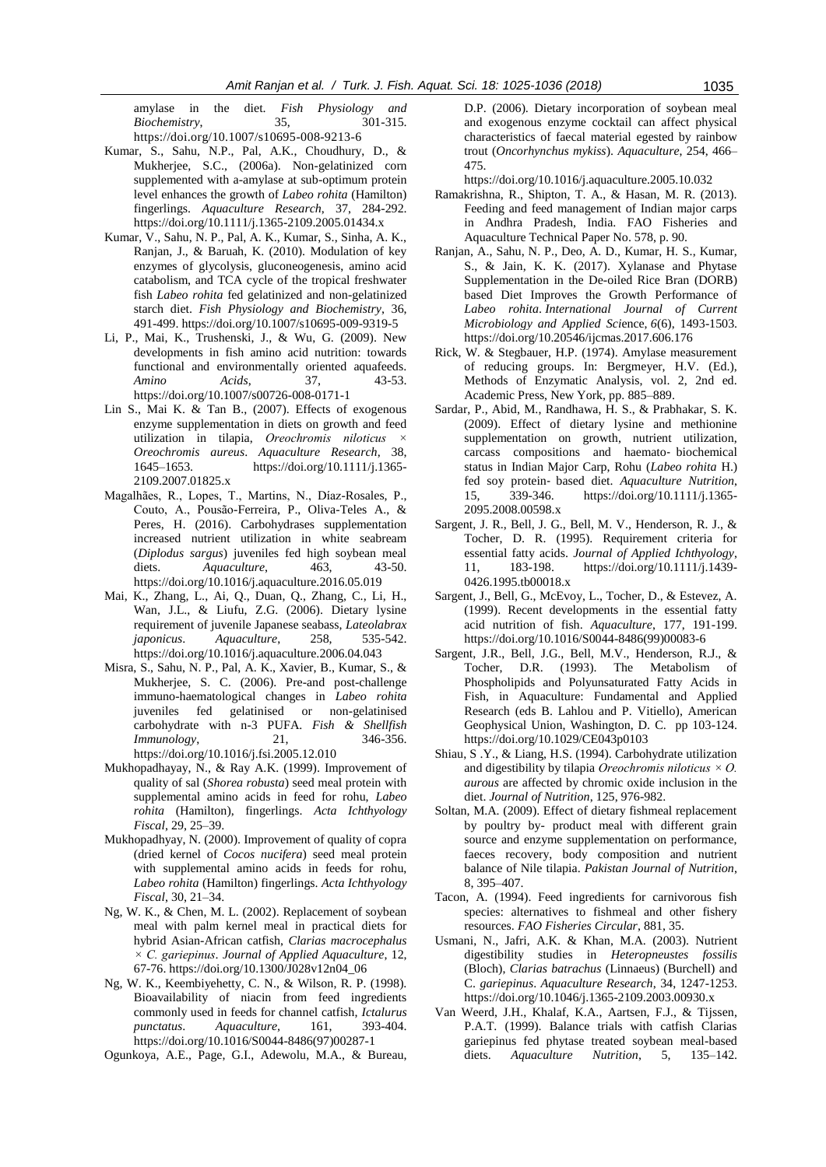amylase in the diet. *Fish Physiology and Biochemistry*, 35, 301-315. https://doi.org/10.1007/s10695-008-9213-6

- Kumar, S., Sahu, N.P., Pal, A.K., Choudhury, D., & Mukherjee, S.C., (2006a). Non-gelatinized corn supplemented with a-amylase at sub-optimum protein level enhances the growth of *Labeo rohita* (Hamilton) fingerlings. *Aquaculture Research*, 37, 284-292. https://doi.org/10.1111/j.1365-2109.2005.01434.x
- Kumar, V., Sahu, N. P., Pal, A. K., Kumar, S., Sinha, A. K., Ranjan, J., & Baruah, K. (2010). Modulation of key enzymes of glycolysis, gluconeogenesis, amino acid catabolism, and TCA cycle of the tropical freshwater fish *Labeo rohita* fed gelatinized and non-gelatinized starch diet. *Fish Physiology and Biochemistry*, 36, 491-499. https://doi.org/10.1007/s10695-009-9319-5
- Li, P., Mai, K., Trushenski, J., & Wu, G. (2009). New developments in fish amino acid nutrition: towards functional and environmentally oriented aquafeeds. *Amino Acids*, 37, 43-53. https://doi.org/10.1007/s00726-008-0171-1
- Lin S., Mai K. & Tan B., (2007). Effects of exogenous enzyme supplementation in diets on growth and feed utilization in tilapia, *Oreochromis niloticus × Oreochromis aureus*. *Aquaculture Research*, 38, 1645–1653. https://doi.org/10.1111/j.1365- 2109.2007.01825.x
- Magalhães, R., Lopes, T., Martins, N., Díaz-Rosales, P., Couto, A., Pousão-Ferreira, P., Oliva-Teles A., & Peres, H. (2016). Carbohydrases supplementation increased nutrient utilization in white seabream (*Diplodus sargus*) juveniles fed high soybean meal diets. *Aquaculture*, 463, 43-50. https://doi.org/10.1016/j.aquaculture.2016.05.019
- Mai, K., Zhang, L., Ai, Q., Duan, Q., Zhang, C., Li, H., Wan, J.L., & Liufu, Z.G. (2006). Dietary lysine requirement of juvenile Japanese seabass, *Lateolabrax japonicus*. *Aquaculture*, 258, 535-542. https://doi.org/10.1016/j.aquaculture.2006.04.043
- Misra, S., Sahu, N. P., Pal, A. K., Xavier, B., Kumar, S., & Mukherjee, S. C. (2006). Pre-and post-challenge immuno-haematological changes in *Labeo rohita* juveniles fed gelatinised or non-gelatinised carbohydrate with n-3 PUFA. *Fish & Shellfish Immunology*, 21, 346-356. https://doi.org/10.1016/j.fsi.2005.12.010
- Mukhopadhayay, N., & Ray A.K. (1999). Improvement of quality of sal (*Shorea robusta*) seed meal protein with supplemental amino acids in feed for rohu, *Labeo rohita* (Hamilton), fingerlings. *Acta Ichthyology Fiscal*, 29, 25–39.
- Mukhopadhyay, N. (2000). Improvement of quality of copra (dried kernel of *Cocos nucifera*) seed meal protein with supplemental amino acids in feeds for rohu, *Labeo rohita* (Hamilton) fingerlings. *Acta Ichthyology Fiscal*, 30, 21–34.
- Ng, W. K., & Chen, M. L. (2002). Replacement of soybean meal with palm kernel meal in practical diets for hybrid Asian-African catfish, *Clarias macrocephalus × C. gariepinus*. *Journal of Applied Aquaculture*, 12, 67-76. https://doi.org/10.1300/J028v12n04\_06
- Ng, W. K., Keembiyehetty, C. N., & Wilson, R. P. (1998). Bioavailability of niacin from feed ingredients commonly used in feeds for channel catfish, *Ictalurus punctatus*. *Aquaculture,* 161, 393-404. https://doi.org/10.1016/S0044-8486(97)00287-1
- Ogunkoya, A.E., Page, G.I., Adewolu, M.A., & Bureau,

D.P. (2006). Dietary incorporation of soybean meal and exogenous enzyme cocktail can affect physical characteristics of faecal material egested by rainbow trout (*Oncorhynchus mykiss*). *Aquaculture*, 254, 466– 475.

https://doi.org/10.1016/j.aquaculture.2005.10.032

- Ramakrishna, R., Shipton, T. A., & Hasan, M. R. (2013). Feeding and feed management of Indian major carps in Andhra Pradesh, India. FAO Fisheries and Aquaculture Technical Paper No. 578, p. 90.
- Ranjan, A., Sahu, N. P., Deo, A. D., Kumar, H. S., Kumar, S., & Jain, K. K. (2017). Xylanase and Phytase Supplementation in the De-oiled Rice Bran (DORB) based Diet Improves the Growth Performance of *Labeo rohita*. *International Journal of Current Microbiology and Applied Sci*ence, *6*(6), 1493-1503. https://doi.org/10.20546/ijcmas.2017.606.176
- Rick, W. & Stegbauer, H.P. (1974). Amylase measurement of reducing groups. In: Bergmeyer, H.V. (Ed.), Methods of Enzymatic Analysis, vol. 2, 2nd ed. Academic Press, New York, pp. 885–889.
- Sardar, P., Abid, M., Randhawa, H. S., & Prabhakar, S. K. (2009). Effect of dietary lysine and methionine supplementation on growth, nutrient utilization, carcass compositions and haemato‐ biochemical status in Indian Major Carp, Rohu (*Labeo rohita* H.) fed soy protein‐ based diet. *Aquaculture Nutrition*, 15, 339-346. https://doi.org/10.1111/j.1365- 2095.2008.00598.x
- Sargent, J. R., Bell, J. G., Bell, M. V., Henderson, R. J., & Tocher, D. R. (1995). Requirement criteria for essential fatty acids. *Journal of Applied Ichthyology*, 11, 183-198. https://doi.org/10.1111/j.1439- 0426.1995.tb00018.x
- Sargent, J., Bell, G., McEvoy, L., Tocher, D., & Estevez, A. (1999). Recent developments in the essential fatty acid nutrition of fish. *Aquaculture*, 177, 191-199. https://doi.org/10.1016/S0044-8486(99)00083-6
- Sargent, J.R., Bell, J.G., Bell, M.V., Henderson, R.J., & Tocher, D.R. (1993). The Metabolism of Phospholipids and Polyunsaturated Fatty Acids in Fish, in Aquaculture: Fundamental and Applied Research (eds B. Lahlou and P. Vitiello), American Geophysical Union, Washington, D. C. pp 103-124. https://doi.org/10.1029/CE043p0103
- Shiau, S .Y., & Liang, H.S. (1994). Carbohydrate utilization and digestibility by tilapia *Oreochromis niloticus × O. aurous* are affected by chromic oxide inclusion in the diet. *Journal of Nutrition*, 125, 976-982.
- Soltan, M.A. (2009). Effect of dietary fishmeal replacement by poultry by- product meal with different grain source and enzyme supplementation on performance, faeces recovery, body composition and nutrient balance of Nile tilapia. *Pakistan Journal of Nutrition*, 8, 395–407.
- Tacon, A. (1994). Feed ingredients for carnivorous fish species: alternatives to fishmeal and other fishery resources. *FAO Fisheries Circular*, 881, 35.
- Usmani, N., Jafri, A.K. & Khan, M.A. (2003). Nutrient digestibility studies in *Heteropneustes fossilis*  (Bloch), *Clarias batrachus* (Linnaeus) (Burchell) and C. *gariepinus*. *Aquaculture Research*, 34, 1247-1253. https://doi.org/10.1046/j.1365-2109.2003.00930.x
- Van Weerd, J.H., Khalaf, K.A., Aartsen, F.J., & Tijssen, P.A.T. (1999). Balance trials with catfish Clarias gariepinus fed phytase treated soybean meal-based diets. *Aquaculture Nutrition*, 5, 135–142.